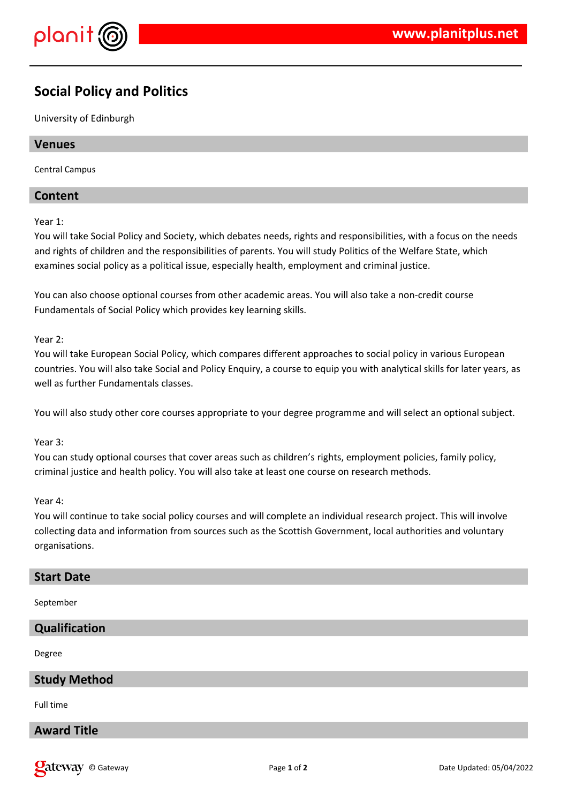

# **Social Policy and Politics**

University of Edinburgh

# **Venues**

Central Campus

# **Content**

Year 1:

You will take Social Policy and Society, which debates needs, rights and responsibilities, with a focus on the needs and rights of children and the responsibilities of parents. You will study Politics of the Welfare State, which examines social policy as a political issue, especially health, employment and criminal justice.

You can also choose optional courses from other academic areas. You will also take a non-credit course Fundamentals of Social Policy which provides key learning skills.

Year 2:

You will take European Social Policy, which compares different approaches to social policy in various European countries. You will also take Social and Policy Enquiry, a course to equip you with analytical skills for later years, as well as further Fundamentals classes.

You will also study other core courses appropriate to your degree programme and will select an optional subject.

# Year 3:

You can study optional courses that cover areas such as children's rights, employment policies, family policy, criminal justice and health policy. You will also take at least one course on research methods.

#### Year 4:

You will continue to take social policy courses and will complete an individual research project. This will involve collecting data and information from sources such as the Scottish Government, local authorities and voluntary organisations.

#### **Start Date**

September

#### **Qualification**

Degree

# **Study Method**

Full time

# **Award Title**

**Qateway** © Gateway **Page 1** of 2 Date Updated: 05/04/2022 Date Updated: 05/04/2022